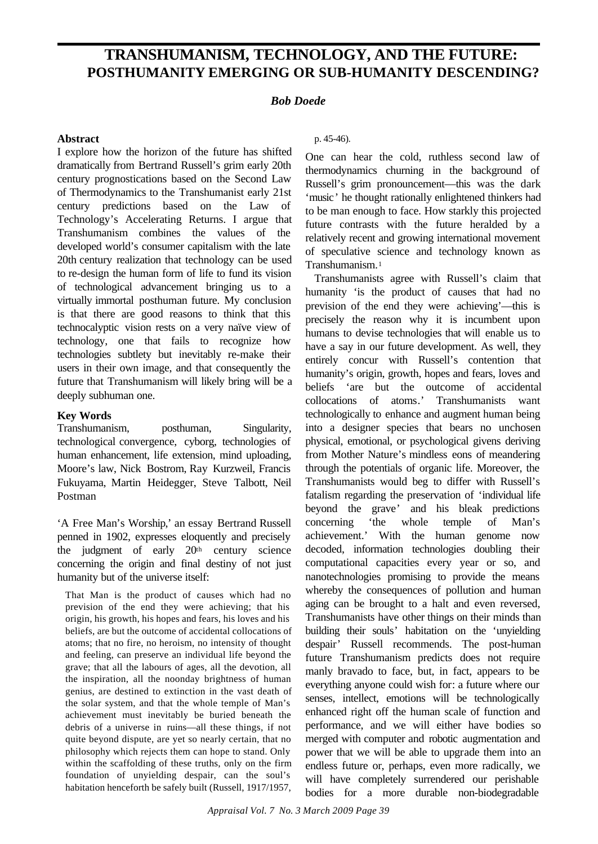# **TRANSHUMANISM, TECHNOLOGY, AND THE FUTURE: POSTHUMANITY EMERGING OR SUB-HUMANITY POSTHUMANITY EMERGING OR SUB-HUMANITY DESCENDING?**

# **DESCENDING?** *Bob Doede*

#### **Abstract**

I explore how the horizon of the future has shifted dramatically from Bertrand Russell's grim early 20th century prognostications based on the Second Law of Thermodynamics to the Transhumanist early 21st century predictions based on the Law of Technology's Accelerating Returns. I argue that Transhumanism combines the values of the developed world's consumer capitalism with the late 20th century realization that technology can be used to re-design the human form of life to fund its vision of technological advancement bringing us to a virtually immortal posthuman future. My conclusion is that there are good reasons to think that this technocalyptic vision rests on a very naïve view of technology, one that fails to recognize how technologies subtlety but inevitably re-make their users in their own image, and that consequently the future that Transhumanism will likely bring will be a deeply subhuman one.

# **Key Words**

Transhumanism, posthuman, Singularity, technological convergence, cyborg, technologies of human enhancement, life extension, mind uploading, Moore's law, Nick Bostrom, Ray Kurzweil, Francis Fukuyama, Martin Heidegger, Steve Talbott, Neil Postman

'A Free Man's Worship,' an essay Bertrand Russell penned in 1902, expresses eloquently and precisely the judgment of early 20th century science concerning the origin and final destiny of not just humanity but of the universe itself:

That Man is the product of causes which had no prevision of the end they were achieving; that his origin, his growth, his hopes and fears, his loves and his beliefs, are but the outcome of accidental collocations of atoms; that no fire, no heroism, no intensity of thought and feeling, can preserve an individual life beyond the grave; that all the labours of ages, all the devotion, all the inspiration, all the noonday brightness of human genius, are destined to extinction in the vast death of the solar system, and that the whole temple of Man's achievement must inevitably be buried beneath the debris of a universe in ruins—all these things, if not quite beyond dispute, are yet so nearly certain, that no philosophy which rejects them can hope to stand. Only within the scaffolding of these truths, only on the firm foundation of unyielding despair, can the soul's habitation henceforth be safely built (Russell, 1917/1957,

#### p. 45-46).

One can hear the cold, ruthless second law of thermodynamics churning in the background of Russell's grim pronouncement—this was the dark 'music' he thought rationally enlightened thinkers had to be man enough to face. How starkly this projected future contrasts with the future heralded by a relatively recent and growing international movement of speculative science and technology known as Transhumanism.<sup>1</sup>

Transhumanists agree with Russell's claim that humanity 'is the product of causes that had no prevision of the end they were achieving'—this is precisely the reason why it is incumbent upon humans to devise technologies that will enable us to have a say in our future development. As well, they entirely concur with Russell's contention that humanity's origin, growth, hopes and fears, loves and beliefs 'are but the outcome of accidental collocations of atoms.' Transhumanists want technologically to enhance and augment human being into a designer species that bears no unchosen physical, emotional, or psychological givens deriving from Mother Nature's mindless eons of meandering through the potentials of organic life. Moreover, the Transhumanists would beg to differ with Russell's fatalism regarding the preservation of 'individual life beyond the grave' and his bleak predictions concerning 'the whole temple of Man's achievement.' With the human genome now decoded, information technologies doubling their computational capacities every year or so, and nanotechnologies promising to provide the means whereby the consequences of pollution and human aging can be brought to a halt and even reversed, Transhumanists have other things on their minds than building their souls' habitation on the 'unyielding despair' Russell recommends. The post-human future Transhumanism predicts does not require manly bravado to face, but, in fact, appears to be everything anyone could wish for: a future where our senses, intellect, emotions will be technologically enhanced right off the human scale of function and performance, and we will either have bodies so merged with computer and robotic augmentation and power that we will be able to upgrade them into an endless future or, perhaps, even more radically, we will have completely surrendered our perishable bodies for a more durable non-biodegradable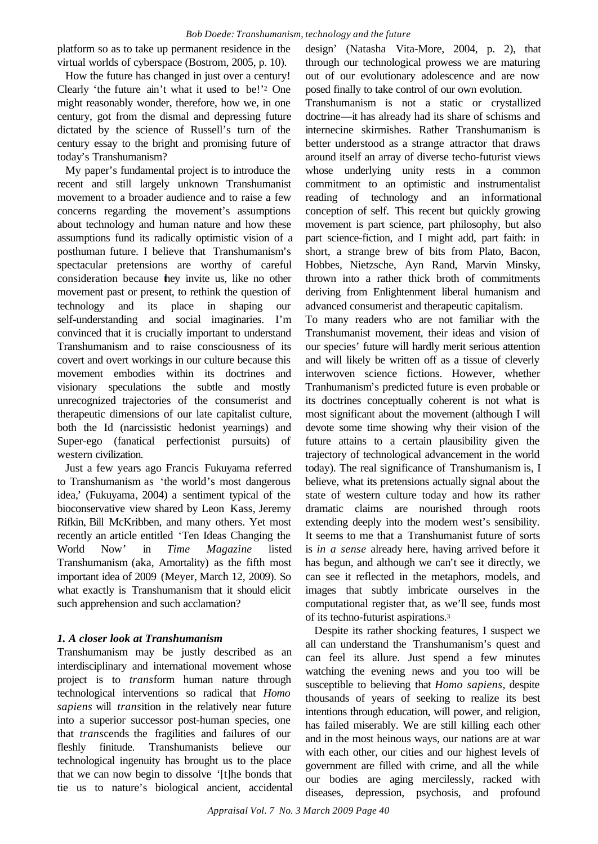platform so as to take up permanent residence in the virtual worlds of cyberspace (Bostrom, 2005, p. 10).

How the future has changed in just over a century! Clearly 'the future ain't what it used to be!' <sup>2</sup> One might reasonably wonder, therefore, how we, in one century, got from the dismal and depressing future dictated by the science of Russell's turn of the century essay to the bright and promising future of today's Transhumanism?

My paper's fundamental project is to introduce the recent and still largely unknown Transhumanist movement to a broader audience and to raise a few concerns regarding the movement's assumptions about technology and human nature and how these assumptions fund its radically optimistic vision of a posthuman future. I believe that Transhumanism's spectacular pretensions are worthy of careful consideration because they invite us, like no other movement past or present, to rethink the question of technology and its place in shaping our self-understanding and social imaginaries. I'm convinced that it is crucially important to understand Transhumanism and to raise consciousness of its covert and overt workings in our culture because this movement embodies within its doctrines and visionary speculations the subtle and mostly unrecognized trajectories of the consumerist and therapeutic dimensions of our late capitalist culture, both the Id (narcissistic hedonist yearnings) and Super-ego (fanatical perfectionist pursuits) of western civilization.

Just a few years ago Francis Fukuyama referred to Transhumanism as 'the world's most dangerous idea,' (Fukuyama, 2004) a sentiment typical of the bioconservative view shared by Leon Kass, Jeremy Rifkin, Bill McKribben, and many others. Yet most recently an article entitled 'Ten Ideas Changing the World Now' in *Time Magazine* listed Transhumanism (aka, Amortality) as the fifth most important idea of 2009 (Meyer, March 12, 2009). So what exactly is Transhumanism that it should elicit such apprehension and such acclamation?

# *1. A closer look at Transhumanism*

Transhumanism may be justly described as an interdisciplinary and international movement whose project is to *trans*form human nature through technological interventions so radical that *Homo sapiens* will *trans*ition in the relatively near future into a superior successor post-human species, one that *trans*cends the fragilities and failures of our fleshly finitude. Transhumanists believe our technological ingenuity has brought us to the place that we can now begin to dissolve '[t]he bonds that tie us to nature's biological ancient, accidental design' (Natasha Vita-More, 2004, p. 2), that through our technological prowess we are maturing out of our evolutionary adolescence and are now posed finally to take control of our own evolution.

Transhumanism is not a static or crystallized doctrine—it has already had its share of schisms and internecine skirmishes. Rather Transhumanism is better understood as a strange attractor that draws around itself an array of diverse techo-futurist views whose underlying unity rests in a common commitment to an optimistic and instrumentalist reading of technology and an informational conception of self. This recent but quickly growing movement is part science, part philosophy, but also part science-fiction, and I might add, part faith: in short, a strange brew of bits from Plato, Bacon, Hobbes, Nietzsche, Ayn Rand, Marvin Minsky, thrown into a rather thick broth of commitments deriving from Enlightenment liberal humanism and advanced consumerist and therapeutic capitalism.

To many readers who are not familiar with the Transhumanist movement, their ideas and vision of our species' future will hardly merit serious attention and will likely be written off as a tissue of cleverly interwoven science fictions. However, whether Tranhumanism's predicted future is even probable or its doctrines conceptually coherent is not what is most significant about the movement (although I will devote some time showing why their vision of the future attains to a certain plausibility given the trajectory of technological advancement in the world today). The real significance of Transhumanism is, I believe, what its pretensions actually signal about the state of western culture today and how its rather dramatic claims are nourished through roots extending deeply into the modern west's sensibility. It seems to me that a Transhumanist future of sorts is *in a sense* already here, having arrived before it has begun, and although we can't see it directly, we can see it reflected in the metaphors, models, and images that subtly imbricate ourselves in the computational register that, as we'll see, funds most of its techno-futurist aspirations.<sup>3</sup>

Despite its rather shocking features, I suspect we all can understand the Transhumanism's quest and can feel its allure. Just spend a few minutes watching the evening news and you too will be susceptible to believing that *Homo sapiens*, despite thousands of years of seeking to realize its best intentions through education, will power, and religion, has failed miserably. We are still killing each other and in the most heinous ways, our nations are at war with each other, our cities and our highest levels of government are filled with crime, and all the while our bodies are aging mercilessly, racked with diseases, depression, psychosis, and profound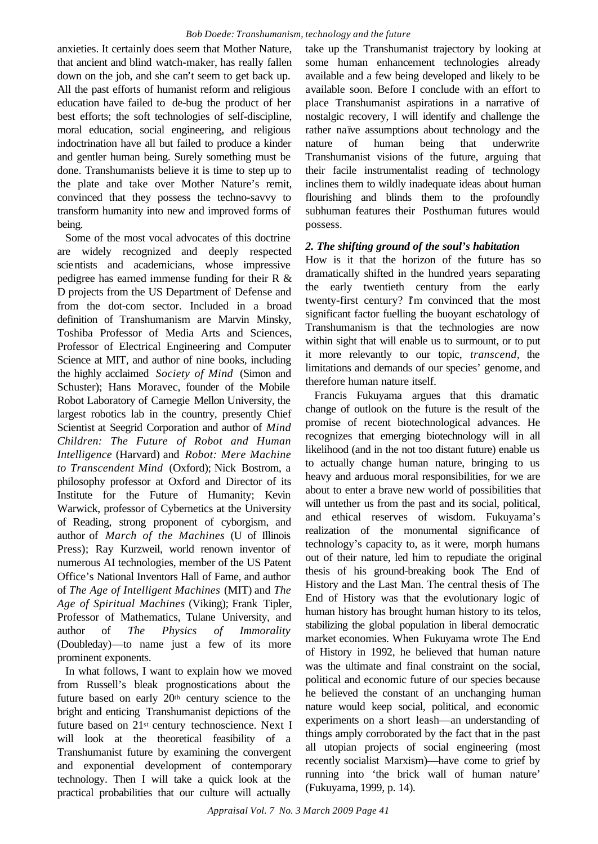anxieties. It certainly does seem that Mother Nature, that ancient and blind watch-maker, has really fallen down on the job, and she can't seem to get back up. All the past efforts of humanist reform and religious education have failed to de-bug the product of her best efforts; the soft technologies of self-discipline, moral education, social engineering, and religious indoctrination have all but failed to produce a kinder and gentler human being. Surely something must be done. Transhumanists believe it is time to step up to the plate and take over Mother Nature's remit, convinced that they possess the techno-savvy to transform humanity into new and improved forms of being.

Some of the most vocal advocates of this doctrine are widely recognized and deeply respected scientists and academicians, whose impressive pedigree has earned immense funding for their R & D projects from the US Department of Defense and from the dot-com sector. Included in a broad definition of Transhumanism are Marvin Minsky, Toshiba Professor of Media Arts and Sciences, Professor of Electrical Engineering and Computer Science at MIT, and author of nine books, including the highly acclaimed *Society of Mind* (Simon and Schuster); Hans Moravec, founder of the Mobile Robot Laboratory of Carnegie Mellon University, the largest robotics lab in the country, presently Chief Scientist at Seegrid Corporation and author of *Mind Children: The Future of Robot and Human Intelligence* (Harvard) and *Robot: Mere Machine to Transcendent Mind* (Oxford); Nick Bostrom, a philosophy professor at Oxford and Director of its Institute for the Future of Humanity; Kevin Warwick, professor of Cybernetics at the University of Reading, strong proponent of cyborgism, and author of *March of the Machines* (U of Illinois Press); Ray Kurzweil, world renown inventor of numerous AI technologies, member of the US Patent Office's National Inventors Hall of Fame, and author of *The Age of Intelligent Machines* (MIT) and *The Age of Spiritual Machines* (Viking); Frank Tipler, Professor of Mathematics, Tulane University, and author of *The Physics of Immorality* (Doubleday)—to name just a few of its more prominent exponents.

In what follows, I want to explain how we moved from Russell's bleak prognostications about the future based on early 20th century science to the bright and enticing Transhumanist depictions of the future based on 21st century technoscience. Next I will look at the theoretical feasibility of a Transhumanist future by examining the convergent and exponential development of contemporary technology. Then I will take a quick look at the practical probabilities that our culture will actually

take up the Transhumanist trajectory by looking at some human enhancement technologies already available and a few being developed and likely to be available soon. Before I conclude with an effort to place Transhumanist aspirations in a narrative of nostalgic recovery, I will identify and challenge the rather naïve assumptions about technology and the nature of human being that underwrite Transhumanist visions of the future, arguing that their facile instrumentalist reading of technology inclines them to wildly inadequate ideas about human flourishing and blinds them to the profoundly subhuman features their Posthuman futures would possess.

# *2. The shifting ground of the soul's habitation*

How is it that the horizon of the future has so dramatically shifted in the hundred years separating the early twentieth century from the early twenty-first century? I'm convinced that the most significant factor fuelling the buoyant eschatology of Transhumanism is that the technologies are now within sight that will enable us to surmount, or to put it more relevantly to our topic, *transcend*, the limitations and demands of our species' genome, and therefore human nature itself.

Francis Fukuyama argues that this dramatic change of outlook on the future is the result of the promise of recent biotechnological advances. He recognizes that emerging biotechnology will in all likelihood (and in the not too distant future) enable us to actually change human nature, bringing to us heavy and arduous moral responsibilities, for we are about to enter a brave new world of possibilities that will untether us from the past and its social, political, and ethical reserves of wisdom. Fukuyama's realization of the monumental significance of technology's capacity to, as it were, morph humans out of their nature, led him to repudiate the original thesis of his ground-breaking book The End of History and the Last Man. The central thesis of The End of History was that the evolutionary logic of human history has brought human history to its telos, stabilizing the global population in liberal democratic market economies. When Fukuyama wrote The End of History in 1992, he believed that human nature was the ultimate and final constraint on the social, political and economic future of our species because he believed the constant of an unchanging human nature would keep social, political, and economic experiments on a short leash—an understanding of things amply corroborated by the fact that in the past all utopian projects of social engineering (most recently socialist Marxism)—have come to grief by running into 'the brick wall of human nature' (Fukuyama, 1999, p. 14).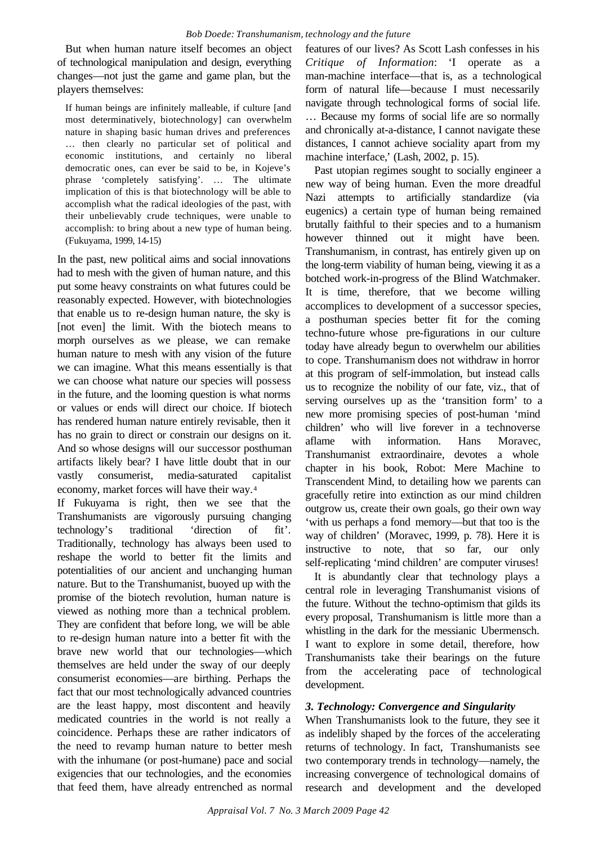But when human nature itself becomes an object of technological manipulation and design, everything changes—not just the game and game plan, but the players themselves:

If human beings are infinitely malleable, if culture [and most determinatively, biotechnology] can overwhelm nature in shaping basic human drives and preferences … then clearly no particular set of political and economic institutions, and certainly no liberal democratic ones, can ever be said to be, in Kojeve's phrase 'completely satisfying'. … The ultimate implication of this is that biotechnology will be able to accomplish what the radical ideologies of the past, with their unbelievably crude techniques, were unable to accomplish: to bring about a new type of human being. (Fukuyama, 1999, 14-15)

In the past, new political aims and social innovations had to mesh with the given of human nature, and this put some heavy constraints on what futures could be reasonably expected. However, with biotechnologies that enable us to re-design human nature, the sky is [not even] the limit. With the biotech means to morph ourselves as we please, we can remake human nature to mesh with any vision of the future we can imagine. What this means essentially is that we can choose what nature our species will possess in the future, and the looming question is what norms or values or ends will direct our choice. If biotech has rendered human nature entirely revisable, then it has no grain to direct or constrain our designs on it. And so whose designs will our successor posthuman artifacts likely bear? I have little doubt that in our vastly consumerist, media-saturated capitalist economy, market forces will have their way.<sup>4</sup>

If Fukuyama is right, then we see that the Transhumanists are vigorously pursuing changing technology's traditional 'direction of fit'. Traditionally, technology has always been used to reshape the world to better fit the limits and potentialities of our ancient and unchanging human nature. But to the Transhumanist, buoyed up with the promise of the biotech revolution, human nature is viewed as nothing more than a technical problem. They are confident that before long, we will be able to re-design human nature into a better fit with the brave new world that our technologies—which themselves are held under the sway of our deeply consumerist economies—are birthing. Perhaps the fact that our most technologically advanced countries are the least happy, most discontent and heavily medicated countries in the world is not really a coincidence. Perhaps these are rather indicators of the need to revamp human nature to better mesh with the inhumane (or post-humane) pace and social exigencies that our technologies, and the economies that feed them, have already entrenched as normal features of our lives? As Scott Lash confesses in his *Critique of Information*: 'I operate as a man-machine interface—that is, as a technological form of natural life—because I must necessarily navigate through technological forms of social life. … Because my forms of social life are so normally and chronically at-a-distance, I cannot navigate these distances, I cannot achieve sociality apart from my machine interface,' (Lash, 2002, p. 15).

Past utopian regimes sought to socially engineer a new way of being human. Even the more dreadful Nazi attempts to artificially standardize (via eugenics) a certain type of human being remained brutally faithful to their species and to a humanism however thinned out it might have been. Transhumanism, in contrast, has entirely given up on the long-term viability of human being, viewing it as a botched work-in-progress of the Blind Watchmaker. It is time, therefore, that we become willing accomplices to development of a successor species, a posthuman species better fit for the coming techno-future whose pre-figurations in our culture today have already begun to overwhelm our abilities to cope. Transhumanism does not withdraw in horror at this program of self-immolation, but instead calls us to recognize the nobility of our fate, viz., that of serving ourselves up as the 'transition form' to a new more promising species of post-human 'mind children' who will live forever in a technoverse aflame with information. Hans Moravec, Transhumanist extraordinaire, devotes a whole chapter in his book, Robot: Mere Machine to Transcendent Mind, to detailing how we parents can gracefully retire into extinction as our mind children outgrow us, create their own goals, go their own way 'with us perhaps a fond memory—but that too is the way of children' (Moravec, 1999, p. 78). Here it is instructive to note, that so far, our only self-replicating 'mind children' are computer viruses!

It is abundantly clear that technology plays a central role in leveraging Transhumanist visions of the future. Without the techno-optimism that gilds its every proposal, Transhumanism is little more than a whistling in the dark for the messianic Ubermensch. I want to explore in some detail, therefore, how Transhumanists take their bearings on the future from the accelerating pace of technological development.

#### *3. Technology: Convergence and Singularity*

When Transhumanists look to the future, they see it as indelibly shaped by the forces of the accelerating returns of technology. In fact, Transhumanists see two contemporary trends in technology—namely, the increasing convergence of technological domains of research and development and the developed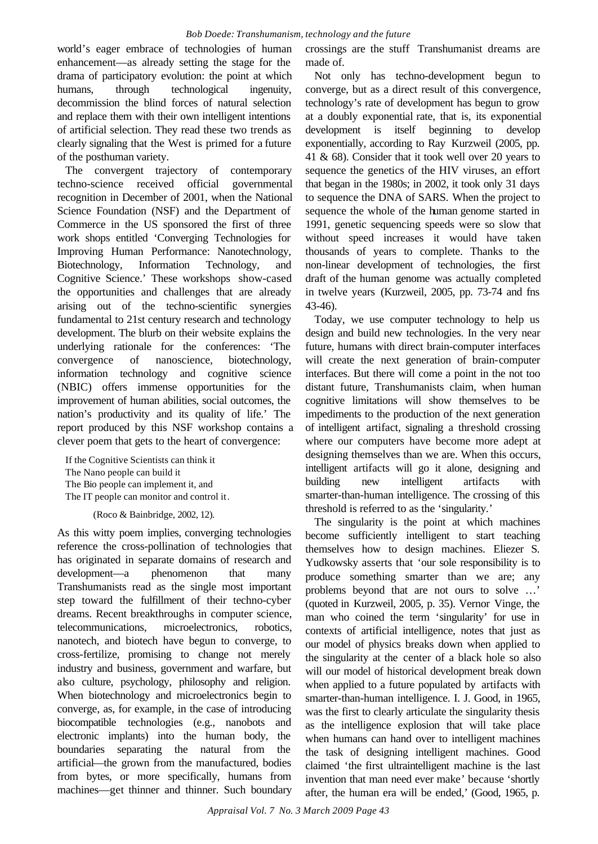world's eager embrace of technologies of human enhancement—as already setting the stage for the drama of participatory evolution: the point at which humans, through technological ingenuity, decommission the blind forces of natural selection and replace them with their own intelligent intentions of artificial selection. They read these two trends as clearly signaling that the West is primed for a future of the posthuman variety.

The convergent trajectory of contemporary techno-science received official governmental recognition in December of 2001, when the National Science Foundation (NSF) and the Department of Commerce in the US sponsored the first of three work shops entitled 'Converging Technologies for Improving Human Performance: Nanotechnology, Biotechnology, Information Technology, and Cognitive Science.' These workshops show-cased the opportunities and challenges that are already arising out of the techno-scientific synergies fundamental to 21st century research and technology development. The blurb on their website explains the underlying rationale for the conferences: 'The convergence of nanoscience, biotechnology, information technology and cognitive science (NBIC) offers immense opportunities for the improvement of human abilities, social outcomes, the nation's productivity and its quality of life.' The report produced by this NSF workshop contains a clever poem that gets to the heart of convergence:

If the Cognitive Scientists can think it The Nano people can build it The Bio people can implement it, and The IT people can monitor and control it.

(Roco & Bainbridge, 2002, 12).

As this witty poem implies, converging technologies reference the cross-pollination of technologies that has originated in separate domains of research and development—a phenomenon that many Transhumanists read as the single most important step toward the fulfillment of their techno-cyber dreams. Recent breakthroughs in computer science, telecommunications, microelectronics, robotics, nanotech, and biotech have begun to converge, to cross-fertilize, promising to change not merely industry and business, government and warfare, but also culture, psychology, philosophy and religion. When biotechnology and microelectronics begin to converge, as, for example, in the case of introducing biocompatible technologies (e.g., nanobots and electronic implants) into the human body, the boundaries separating the natural from the artificial—the grown from the manufactured, bodies from bytes, or more specifically, humans from machines—get thinner and thinner. Such boundary crossings are the stuff Transhumanist dreams are made of.

Not only has techno-development begun to converge, but as a direct result of this convergence, technology's rate of development has begun to grow at a doubly exponential rate, that is, its exponential development is itself beginning to develop exponentially, according to Ray Kurzweil (2005, pp. 41 & 68). Consider that it took well over 20 years to sequence the genetics of the HIV viruses, an effort that began in the 1980s; in 2002, it took only 31 days to sequence the DNA of SARS. When the project to sequence the whole of the human genome started in 1991, genetic sequencing speeds were so slow that without speed increases it would have taken thousands of years to complete. Thanks to the non-linear development of technologies, the first draft of the human genome was actually completed in twelve years (Kurzweil, 2005, pp. 73-74 and fns 43-46).

Today, we use computer technology to help us design and build new technologies. In the very near future, humans with direct brain-computer interfaces will create the next generation of brain-computer interfaces. But there will come a point in the not too distant future, Transhumanists claim, when human cognitive limitations will show themselves to be impediments to the production of the next generation of intelligent artifact, signaling a threshold crossing where our computers have become more adept at designing themselves than we are. When this occurs, intelligent artifacts will go it alone, designing and building new intelligent artifacts with smarter-than-human intelligence. The crossing of this threshold is referred to as the 'singularity.'

The singularity is the point at which machines become sufficiently intelligent to start teaching themselves how to design machines. Eliezer S. Yudkowsky asserts that 'our sole responsibility is to produce something smarter than we are; any problems beyond that are not ours to solve …' (quoted in Kurzweil, 2005, p. 35). Vernor Vinge, the man who coined the term 'singularity' for use in contexts of artificial intelligence, notes that just as our model of physics breaks down when applied to the singularity at the center of a black hole so also will our model of historical development break down when applied to a future populated by artifacts with smarter-than-human intelligence. I. J. Good, in 1965, was the first to clearly articulate the singularity thesis as the intelligence explosion that will take place when humans can hand over to intelligent machines the task of designing intelligent machines. Good claimed 'the first ultraintelligent machine is the last invention that man need ever make' because 'shortly after, the human era will be ended,' (Good, 1965, p.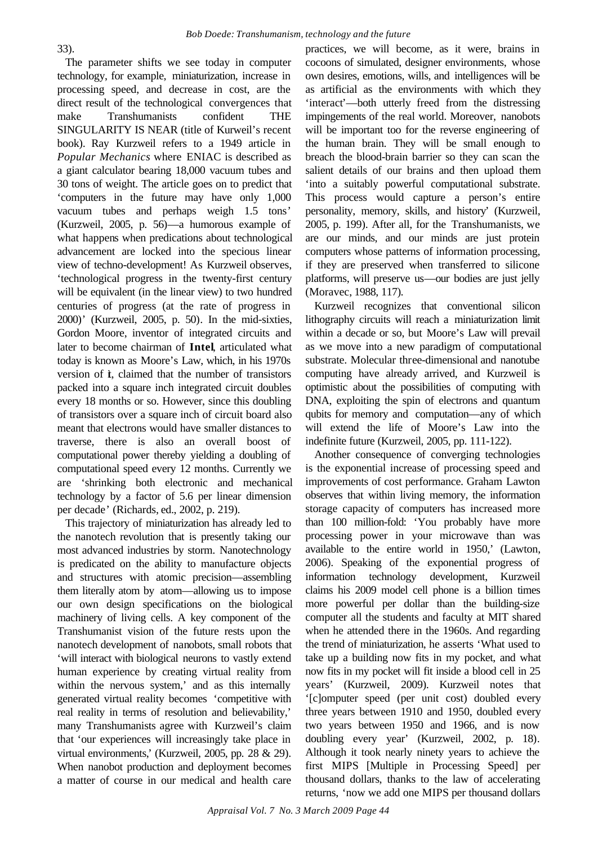The parameter shifts we see today in computer technology, for example, miniaturization, increase in processing speed, and decrease in cost, are the direct result of the technological convergences that make Transhumanists confident THE SINGULARITY IS NEAR (title of Kurweil's recent book). Ray Kurzweil refers to a 1949 article in *Popular Mechanics* where ENIAC is described as a giant calculator bearing 18,000 vacuum tubes and 30 tons of weight. The article goes on to predict that 'computers in the future may have only 1,000 vacuum tubes and perhaps weigh 1.5 tons' (Kurzweil, 2005, p. 56)—a humorous example of what happens when predications about technological advancement are locked into the specious linear view of techno-development! As Kurzweil observes, 'technological progress in the twenty-first century will be equivalent (in the linear view) to two hundred centuries of progress (at the rate of progress in 2000)' (Kurzweil, 2005, p. 50). In the mid-sixties, Gordon Moore, inventor of integrated circuits and later to become chairman of **Intel**, articulated what today is known as Moore's Law, which, in his 1970s version of  $\dot{\mathbf{t}}$ , claimed that the number of transistors packed into a square inch integrated circuit doubles every 18 months or so. However, since this doubling of transistors over a square inch of circuit board also meant that electrons would have smaller distances to traverse, there is also an overall boost of computational power thereby yielding a doubling of computational speed every 12 months. Currently we are 'shrinking both electronic and mechanical technology by a factor of 5.6 per linear dimension per decade' (Richards, ed., 2002, p. 219).

This trajectory of miniaturization has already led to the nanotech revolution that is presently taking our most advanced industries by storm. Nanotechnology is predicated on the ability to manufacture objects and structures with atomic precision—assembling them literally atom by atom—allowing us to impose our own design specifications on the biological machinery of living cells. A key component of the Transhumanist vision of the future rests upon the nanotech development of nanobots, small robots that 'will interact with biological neurons to vastly extend human experience by creating virtual reality from within the nervous system,' and as this internally generated virtual reality becomes 'competitive with real reality in terms of resolution and believability,' many Transhumanists agree with Kurzweil's claim that 'our experiences will increasingly take place in virtual environments,' (Kurzweil, 2005, pp. 28 & 29). When nanobot production and deployment becomes a matter of course in our medical and health care

practices, we will become, as it were, brains in cocoons of simulated, designer environments, whose own desires, emotions, wills, and intelligences will be as artificial as the environments with which they 'interact'—both utterly freed from the distressing impingements of the real world. Moreover, nanobots will be important too for the reverse engineering of the human brain. They will be small enough to breach the blood-brain barrier so they can scan the salient details of our brains and then upload them 'into a suitably powerful computational substrate. This process would capture a person's entire personality, memory, skills, and history' (Kurzweil, 2005, p. 199). After all, for the Transhumanists, we are our minds, and our minds are just protein computers whose patterns of information processing, if they are preserved when transferred to silicone platforms, will preserve us—our bodies are just jelly (Moravec, 1988, 117).

Kurzweil recognizes that conventional silicon lithography circuits will reach a miniaturization limit within a decade or so, but Moore's Law will prevail as we move into a new paradigm of computational substrate. Molecular three-dimensional and nanotube computing have already arrived, and Kurzweil is optimistic about the possibilities of computing with DNA, exploiting the spin of electrons and quantum qubits for memory and computation—any of which will extend the life of Moore's Law into the indefinite future (Kurzweil, 2005, pp. 111-122).

Another consequence of converging technologies is the exponential increase of processing speed and improvements of cost performance. Graham Lawton observes that within living memory, the information storage capacity of computers has increased more than 100 million-fold: 'You probably have more processing power in your microwave than was available to the entire world in 1950,' (Lawton, 2006). Speaking of the exponential progress of information technology development, Kurzweil claims his 2009 model cell phone is a billion times more powerful per dollar than the building-size computer all the students and faculty at MIT shared when he attended there in the 1960s. And regarding the trend of miniaturization, he asserts 'What used to take up a building now fits in my pocket, and what now fits in my pocket will fit inside a blood cell in 25 years' (Kurzweil, 2009). Kurzweil notes that '[c]omputer speed (per unit cost) doubled every three years between 1910 and 1950, doubled every two years between 1950 and 1966, and is now doubling every year' (Kurzweil, 2002, p. 18). Although it took nearly ninety years to achieve the first MIPS [Multiple in Processing Speed] per thousand dollars, thanks to the law of accelerating returns, 'now we add one MIPS per thousand dollars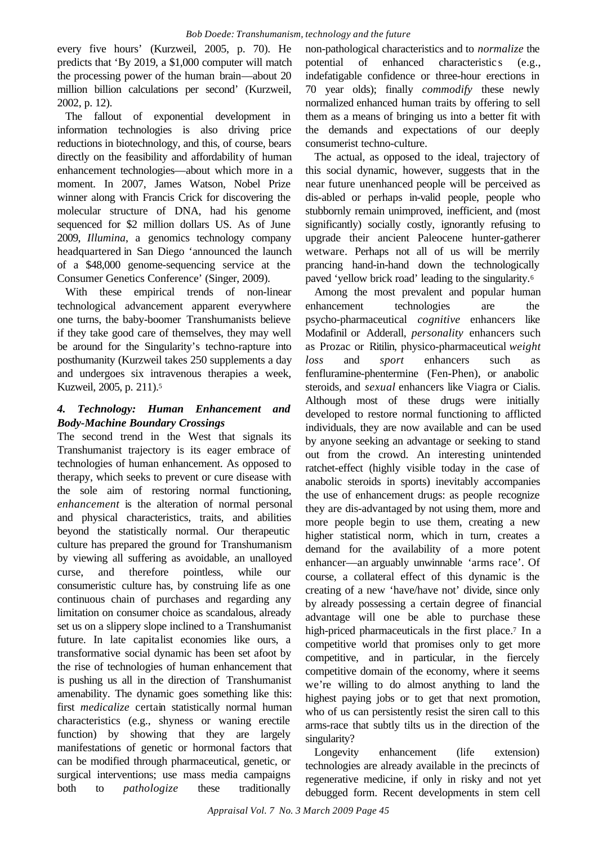every five hours' (Kurzweil, 2005, p. 70). He predicts that 'By 2019, a \$1,000 computer will match the processing power of the human brain—about 20 million billion calculations per second' (Kurzweil, 2002, p. 12).

The fallout of exponential development in information technologies is also driving price reductions in biotechnology, and this, of course, bears directly on the feasibility and affordability of human enhancement technologies—about which more in a moment. In 2007, James Watson, Nobel Prize winner along with Francis Crick for discovering the molecular structure of DNA, had his genome sequenced for \$2 million dollars US. As of June 2009, *Illumina*, a genomics technology company headquartered in San Diego 'announced the launch of a \$48,000 genome-sequencing service at the Consumer Genetics Conference' (Singer, 2009).

With these empirical trends of non-linear technological advancement apparent everywhere one turns, the baby-boomer Transhumanists believe if they take good care of themselves, they may well be around for the Singularity's techno-rapture into posthumanity (Kurzweil takes 250 supplements a day and undergoes six intravenous therapies a week, Kuzweil, 2005, p. 211).<sup>5</sup>

# *4. Technology: Human Enhancement and Body-Machine Boundary Crossings*

The second trend in the West that signals its Transhumanist trajectory is its eager embrace of technologies of human enhancement. As opposed to therapy, which seeks to prevent or cure disease with the sole aim of restoring normal functioning, *enhancement* is the alteration of normal personal and physical characteristics, traits, and abilities beyond the statistically normal. Our therapeutic culture has prepared the ground for Transhumanism by viewing all suffering as avoidable, an unalloyed curse, and therefore pointless, while our consumeristic culture has, by construing life as one continuous chain of purchases and regarding any limitation on consumer choice as scandalous, already set us on a slippery slope inclined to a Transhumanist future. In late capitalist economies like ours, a transformative social dynamic has been set afoot by the rise of technologies of human enhancement that is pushing us all in the direction of Transhumanist amenability. The dynamic goes something like this: first *medicalize* certain statistically normal human characteristics (e.g., shyness or waning erectile function) by showing that they are largely manifestations of genetic or hormonal factors that can be modified through pharmaceutical, genetic, or surgical interventions; use mass media campaigns both to *pathologize* these traditionally

non-pathological characteristics and to *normalize* the potential of enhanced characteristic s (e.g., indefatigable confidence or three-hour erections in 70 year olds); finally *commodify* these newly normalized enhanced human traits by offering to sell them as a means of bringing us into a better fit with the demands and expectations of our deeply consumerist techno-culture.

The actual, as opposed to the ideal, trajectory of this social dynamic, however, suggests that in the near future unenhanced people will be perceived as dis-abled or perhaps in-valid people, people who stubbornly remain unimproved, inefficient, and (most significantly) socially costly, ignorantly refusing to upgrade their ancient Paleocene hunter-gatherer wetware. Perhaps not all of us will be merrily prancing hand-in-hand down the technologically paved 'yellow brick road' leading to the singularity.<sup>6</sup>

Among the most prevalent and popular human enhancement technologies are the psycho-pharmaceutical *cognitive* enhancers like Modafinil or Adderall, *personality* enhancers such as Prozac or Ritilin, physico-pharmaceutical *weight loss* and *sport* enhancers such as fenfluramine-phentermine (Fen-Phen), or anabolic steroids, and *sexual* enhancers like Viagra or Cialis. Although most of these drugs were initially developed to restore normal functioning to afflicted individuals, they are now available and can be used by anyone seeking an advantage or seeking to stand out from the crowd. An interesting unintended ratchet-effect (highly visible today in the case of anabolic steroids in sports) inevitably accompanies the use of enhancement drugs: as people recognize they are dis-advantaged by not using them, more and more people begin to use them, creating a new higher statistical norm, which in turn, creates a demand for the availability of a more potent enhancer—an arguably unwinnable 'arms race'. Of course, a collateral effect of this dynamic is the creating of a new 'have/have not' divide, since only by already possessing a certain degree of financial advantage will one be able to purchase these high-priced pharmaceuticals in the first place.<sup>7</sup> In a competitive world that promises only to get more competitive, and in particular, in the fiercely competitive domain of the economy, where it seems we're willing to do almost anything to land the highest paying jobs or to get that next promotion, who of us can persistently resist the siren call to this arms-race that subtly tilts us in the direction of the singularity?

Longevity enhancement (life extension) technologies are already available in the precincts of regenerative medicine, if only in risky and not yet debugged form. Recent developments in stem cell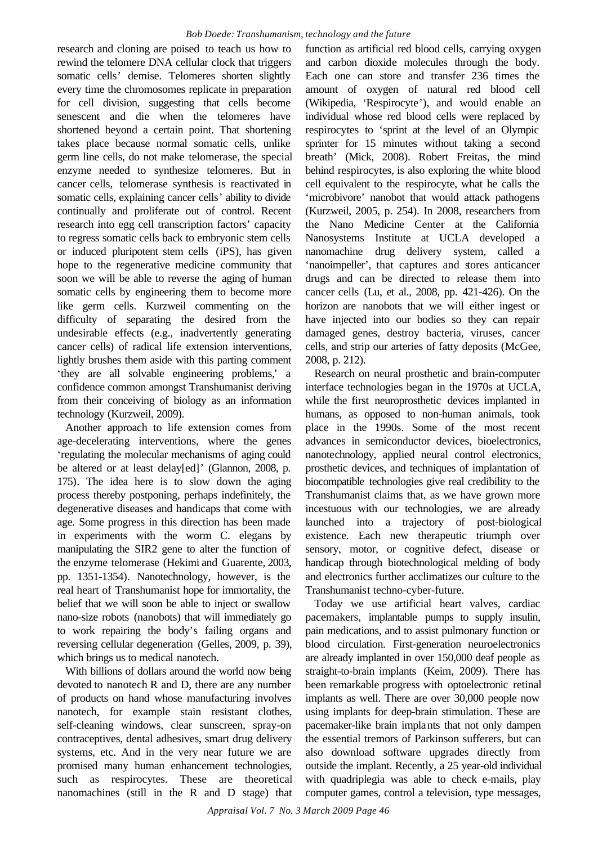research and cloning are poised to teach us how to rewind the telomere DNA cellular clock that triggers somatic cells' demise. Telomeres shorten slightly every time the chromosomes replicate in preparation for cell division, suggesting that cells become senescent and die when the telomeres have shortened beyond a certain point. That shortening takes place because normal somatic cells, unlike germ line cells, do not make telomerase, the special enzyme needed to synthesize telomeres. But in cancer cells, telomerase synthesis is reactivated in somatic cells, explaining cancer cells' ability to divide continually and proliferate out of control. Recent research into egg cell transcription factors' capacity to regress somatic cells back to embryonic stem cells or induced pluripotent stem cells (iPS), has given hope to the regenerative medicine community that soon we will be able to reverse the aging of human somatic cells by engineering them to become more like germ cells. Kurzweil commenting on the difficulty of separating the desired from the undesirable effects (e.g., inadvertently generating cancer cells) of radical life extension interventions, lightly brushes them aside with this parting comment 'they are all solvable engineering problems,' a confidence common amongst Transhumanist deriving from their conceiving of biology as an information technology (Kurzweil, 2009).

Another approach to life extension comes from age-decelerating interventions, where the genes 'regulating the molecular mechanisms of aging could be altered or at least delay[ed]' (Glannon, 2008, p. 175). The idea here is to slow down the aging process thereby postponing, perhaps indefinitely, the degenerative diseases and handicaps that come with age. Some progress in this direction has been made in experiments with the worm C. elegans by manipulating the SIR2 gene to alter the function of the enzyme telomerase (Hekimi and Guarente, 2003, pp. 1351-1354). Nanotechnology, however, is the real heart of Transhumanist hope for immortality, the belief that we will soon be able to inject or swallow nano-size robots (nanobots) that will immediately go to work repairing the body's failing organs and reversing cellular degeneration (Gelles, 2009, p. 39), which brings us to medical nanotech.

With billions of dollars around the world now being devoted to nanotech R and D, there are any number of products on hand whose manufacturing involves nanotech, for example stain resistant clothes, self-cleaning windows, clear sunscreen, spray-on contraceptives, dental adhesives, smart drug delivery systems, etc. And in the very near future we are promised many human enhancement technologies, such as respirocytes. These are theoretical nanomachines (still in the R and D stage) that function as artificial red blood cells, carrying oxygen and carbon dioxide molecules through the body. Each one can store and transfer 236 times the amount of oxygen of natural red blood cell (Wikipedia, 'Respirocyte'), and would enable an individual whose red blood cells were replaced by respirocytes to 'sprint at the level of an Olympic sprinter for 15 minutes without taking a second breath' (Mick, 2008). Robert Freitas, the mind behind respirocytes, is also exploring the white blood cell equivalent to the respirocyte, what he calls the 'microbivore' nanobot that would attack pathogens (Kurzweil, 2005, p. 254). In 2008, researchers from the Nano Medicine Center at the California Nanosystems Institute at UCLA developed a nanomachine drug delivery system, called a 'nanoimpeller', that captures and stores anticancer drugs and can be directed to release them into cancer cells (Lu, et al., 2008, pp. 421-426). On the horizon are nanobots that we will either ingest or have injected into our bodies so they can repair damaged genes, destroy bacteria, viruses, cancer cells, and strip our arteries of fatty deposits (McGee, 2008, p. 212).

Research on neural prosthetic and brain-computer interface technologies began in the 1970s at UCLA, while the first neuroprosthetic devices implanted in humans, as opposed to non-human animals, took place in the 1990s. Some of the most recent advances in semiconductor devices, bioelectronics, nanotechnology, applied neural control electronics, prosthetic devices, and techniques of implantation of biocompatible technologies give real credibility to the Transhumanist claims that, as we have grown more incestuous with our technologies, we are already launched into a trajectory of post-biological existence. Each new therapeutic triumph over sensory, motor, or cognitive defect, disease or handicap through biotechnological melding of body and electronics further acclimatizes our culture to the Transhumanist techno-cyber-future.

Today we use artificial heart valves, cardiac pacemakers, implantable pumps to supply insulin, pain medications, and to assist pulmonary function or blood circulation. First-generation neuroelectronics are already implanted in over 150,000 deaf people as straight-to-brain implants (Keim, 2009). There has been remarkable progress with optoelectronic retinal implants as well. There are over 30,000 people now using implants for deep-brain stimulation. These are pacemaker-like brain implants that not only dampen the essential tremors of Parkinson sufferers, but can also download software upgrades directly from outside the implant. Recently, a 25 year-old individual with quadriplegia was able to check e-mails, play computer games, control a television, type messages,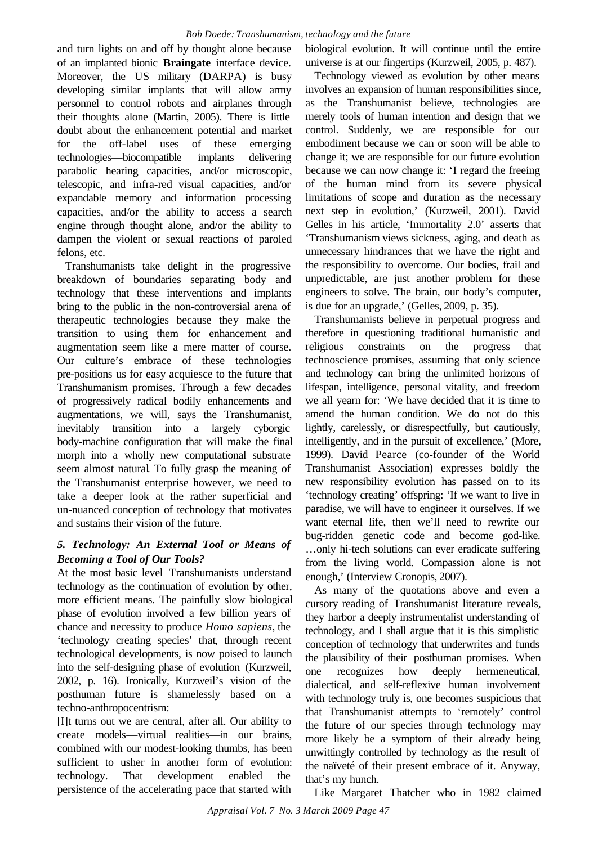and turn lights on and off by thought alone because of an implanted bionic **Braingate** interface device. Moreover, the US military (DARPA) is busy developing similar implants that will allow army personnel to control robots and airplanes through their thoughts alone (Martin, 2005). There is little doubt about the enhancement potential and market for the off-label uses of these emerging technologies—biocompatible implants delivering parabolic hearing capacities, and/or microscopic, telescopic, and infra-red visual capacities, and/or expandable memory and information processing capacities, and/or the ability to access a search engine through thought alone, and/or the ability to dampen the violent or sexual reactions of paroled felons, etc.

Transhumanists take delight in the progressive breakdown of boundaries separating body and technology that these interventions and implants bring to the public in the non-controversial arena of therapeutic technologies because they make the transition to using them for enhancement and augmentation seem like a mere matter of course. Our culture's embrace of these technologies pre-positions us for easy acquiesce to the future that Transhumanism promises. Through a few decades of progressively radical bodily enhancements and augmentations, we will, says the Transhumanist, inevitably transition into a largely cyborgic body-machine configuration that will make the final morph into a wholly new computational substrate seem almost natural. To fully grasp the meaning of the Transhumanist enterprise however, we need to take a deeper look at the rather superficial and un-nuanced conception of technology that motivates and sustains their vision of the future.

# *5. Technology: An External Tool or Means of Becoming a Tool of Our Tools?*

At the most basic level Transhumanists understand technology as the continuation of evolution by other, more efficient means. The painfully slow biological phase of evolution involved a few billion years of chance and necessity to produce *Homo sapiens*, the 'technology creating species' that, through recent technological developments, is now poised to launch into the self-designing phase of evolution (Kurzweil, 2002, p. 16). Ironically, Kurzweil's vision of the posthuman future is shamelessly based on a techno-anthropocentrism:

[I]t turns out we are central, after all. Our ability to create models—virtual realities—in our brains, combined with our modest-looking thumbs, has been sufficient to usher in another form of evolution: technology. That development enabled the persistence of the accelerating pace that started with

biological evolution. It will continue until the entire universe is at our fingertips (Kurzweil, 2005, p. 487).

Technology viewed as evolution by other means involves an expansion of human responsibilities since, as the Transhumanist believe, technologies are merely tools of human intention and design that we control. Suddenly, we are responsible for our embodiment because we can or soon will be able to change it; we are responsible for our future evolution because we can now change it: 'I regard the freeing of the human mind from its severe physical limitations of scope and duration as the necessary next step in evolution,' (Kurzweil, 2001). David Gelles in his article, 'Immortality 2.0' asserts that 'Transhumanism views sickness, aging, and death as unnecessary hindrances that we have the right and the responsibility to overcome. Our bodies, frail and unpredictable, are just another problem for these engineers to solve. The brain, our body's computer, is due for an upgrade,' (Gelles, 2009, p. 35).

Transhumanists believe in perpetual progress and therefore in questioning traditional humanistic and religious constraints on the progress that technoscience promises, assuming that only science and technology can bring the unlimited horizons of lifespan, intelligence, personal vitality, and freedom we all yearn for: 'We have decided that it is time to amend the human condition. We do not do this lightly, carelessly, or disrespectfully, but cautiously, intelligently, and in the pursuit of excellence,' (More, 1999). David Pearce (co-founder of the World Transhumanist Association) expresses boldly the new responsibility evolution has passed on to its 'technology creating' offspring: 'If we want to live in paradise, we will have to engineer it ourselves. If we want eternal life, then we'll need to rewrite our bug-ridden genetic code and become god-like. …only hi-tech solutions can ever eradicate suffering from the living world. Compassion alone is not enough,' (Interview Cronopis, 2007).

As many of the quotations above and even a cursory reading of Transhumanist literature reveals, they harbor a deeply instrumentalist understanding of technology, and I shall argue that it is this simplistic conception of technology that underwrites and funds the plausibility of their posthuman promises. When one recognizes how deeply hermeneutical, dialectical, and self-reflexive human involvement with technology truly is, one becomes suspicious that that Transhumanist attempts to 'remotely' control the future of our species through technology may more likely be a symptom of their already being unwittingly controlled by technology as the result of the naïveté of their present embrace of it. Anyway, that's my hunch.

Like Margaret Thatcher who in 1982 claimed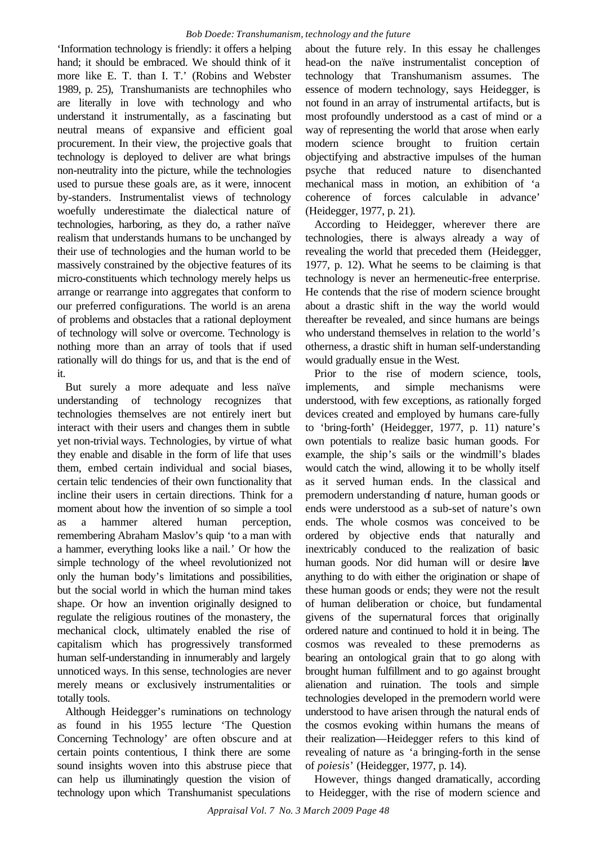'Information technology is friendly: it offers a helping hand; it should be embraced. We should think of it more like E. T. than I. T.' (Robins and Webster 1989, p. 25), Transhumanists are technophiles who are literally in love with technology and who understand it instrumentally, as a fascinating but neutral means of expansive and efficient goal procurement. In their view, the projective goals that technology is deployed to deliver are what brings non-neutrality into the picture, while the technologies used to pursue these goals are, as it were, innocent by-standers. Instrumentalist views of technology woefully underestimate the dialectical nature of technologies, harboring, as they do, a rather naïve realism that understands humans to be unchanged by their use of technologies and the human world to be massively constrained by the objective features of its micro-constituents which technology merely helps us arrange or rearrange into aggregates that conform to our preferred configurations. The world is an arena of problems and obstacles that a rational deployment of technology will solve or overcome. Technology is nothing more than an array of tools that if used rationally will do things for us, and that is the end of it.

But surely a more adequate and less naïve understanding of technology recognizes that technologies themselves are not entirely inert but interact with their users and changes them in subtle yet non-trivial ways. Technologies, by virtue of what they enable and disable in the form of life that uses them, embed certain individual and social biases, certain telic tendencies of their own functionality that incline their users in certain directions. Think for a moment about how the invention of so simple a tool as a hammer altered human perception, remembering Abraham Maslov's quip 'to a man with a hammer, everything looks like a nail.' Or how the simple technology of the wheel revolutionized not only the human body's limitations and possibilities, but the social world in which the human mind takes shape. Or how an invention originally designed to regulate the religious routines of the monastery, the mechanical clock, ultimately enabled the rise of capitalism which has progressively transformed human self-understanding in innumerably and largely unnoticed ways. In this sense, technologies are never merely means or exclusively instrumentalities or totally tools.

Although Heidegger's ruminations on technology as found in his 1955 lecture 'The Question Concerning Technology' are often obscure and at certain points contentious, I think there are some sound insights woven into this abstruse piece that can help us illuminatingly question the vision of technology upon which Transhumanist speculations

about the future rely. In this essay he challenges head-on the naïve instrumentalist conception of technology that Transhumanism assumes. The essence of modern technology, says Heidegger, is not found in an array of instrumental artifacts, but is most profoundly understood as a cast of mind or a way of representing the world that arose when early modern science brought to fruition certain objectifying and abstractive impulses of the human psyche that reduced nature to disenchanted mechanical mass in motion, an exhibition of 'a coherence of forces calculable in advance' (Heidegger, 1977, p. 21).

According to Heidegger, wherever there are technologies, there is always already a way of revealing the world that preceded them (Heidegger, 1977, p. 12). What he seems to be claiming is that technology is never an hermeneutic-free enterprise. He contends that the rise of modern science brought about a drastic shift in the way the world would thereafter be revealed, and since humans are beings who understand themselves in relation to the world's otherness, a drastic shift in human self-understanding would gradually ensue in the West.

Prior to the rise of modern science, tools, implements, and simple mechanisms were understood, with few exceptions, as rationally forged devices created and employed by humans care-fully to 'bring-forth' (Heidegger, 1977, p. 11) nature's own potentials to realize basic human goods. For example, the ship's sails or the windmill's blades would catch the wind, allowing it to be wholly itself as it served human ends. In the classical and premodern understanding of nature, human goods or ends were understood as a sub-set of nature's own ends. The whole cosmos was conceived to be ordered by objective ends that naturally and inextricably conduced to the realization of basic human goods. Nor did human will or desire have anything to do with either the origination or shape of these human goods or ends; they were not the result of human deliberation or choice, but fundamental givens of the supernatural forces that originally ordered nature and continued to hold it in being. The cosmos was revealed to these premoderns as bearing an ontological grain that to go along with brought human fulfillment and to go against brought alienation and ruination. The tools and simple technologies developed in the premodern world were understood to have arisen through the natural ends of the cosmos evoking within humans the means of their realization—Heidegger refers to this kind of revealing of nature as 'a bringing-forth in the sense of *poiesis*' (Heidegger, 1977, p. 14).

However, things changed dramatically, according to Heidegger, with the rise of modern science and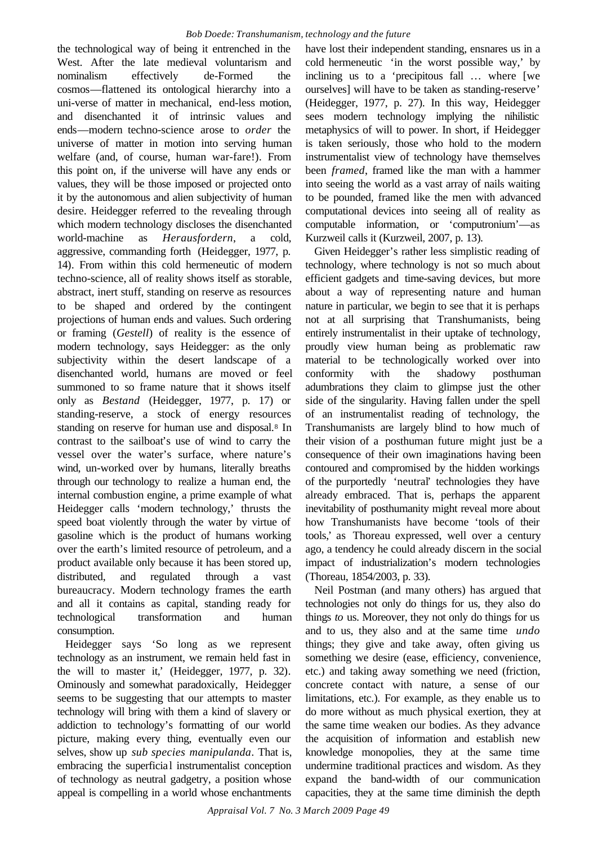the technological way of being it entrenched in the West. After the late medieval voluntarism and nominalism effectively de-Formed the cosmos—flattened its ontological hierarchy into a uni-verse of matter in mechanical, end-less motion, and disenchanted it of intrinsic values and ends—modern techno-science arose to *order* the universe of matter in motion into serving human welfare (and, of course, human war-fare!). From this point on, if the universe will have any ends or values, they will be those imposed or projected onto it by the autonomous and alien subjectivity of human desire. Heidegger referred to the revealing through which modern technology discloses the disenchanted world-machine as *Herausfordern*, a cold, aggressive, commanding forth (Heidegger, 1977, p. 14). From within this cold hermeneutic of modern techno-science, all of reality shows itself as storable, abstract, inert stuff, standing on reserve as resources to be shaped and ordered by the contingent projections of human ends and values. Such ordering or framing (*Gestell*) of reality is the essence of modern technology, says Heidegger: as the only subjectivity within the desert landscape of a disenchanted world, humans are moved or feel summoned to so frame nature that it shows itself only as *Bestand* (Heidegger, 1977, p. 17) or standing-reserve, a stock of energy resources standing on reserve for human use and disposal.8 In contrast to the sailboat's use of wind to carry the vessel over the water's surface, where nature's wind, un-worked over by humans, literally breaths through our technology to realize a human end, the internal combustion engine, a prime example of what Heidegger calls 'modern technology,' thrusts the speed boat violently through the water by virtue of gasoline which is the product of humans working over the earth's limited resource of petroleum, and a product available only because it has been stored up, distributed, and regulated through a vast bureaucracy. Modern technology frames the earth and all it contains as capital, standing ready for technological transformation and human consumption.

Heidegger says 'So long as we represent technology as an instrument, we remain held fast in the will to master it,' (Heidegger, 1977, p. 32). Ominously and somewhat paradoxically, Heidegger seems to be suggesting that our attempts to master technology will bring with them a kind of slavery or addiction to technology's formatting of our world picture, making every thing, eventually even our selves, show up *sub species manipulanda*. That is, embracing the superficial instrumentalist conception of technology as neutral gadgetry, a position whose appeal is compelling in a world whose enchantments

have lost their independent standing, ensnares us in a cold hermeneutic 'in the worst possible way,' by inclining us to a 'precipitous fall … where [we ourselves] will have to be taken as standing-reserve' (Heidegger, 1977, p. 27). In this way, Heidegger sees modern technology implying the nihilistic metaphysics of will to power. In short, if Heidegger is taken seriously, those who hold to the modern instrumentalist view of technology have themselves been *framed*, framed like the man with a hammer into seeing the world as a vast array of nails waiting to be pounded, framed like the men with advanced computational devices into seeing all of reality as computable information, or 'computronium'—as Kurzweil calls it (Kurzweil, 2007, p. 13).

Given Heidegger's rather less simplistic reading of technology, where technology is not so much about efficient gadgets and time-saving devices, but more about a way of representing nature and human nature in particular, we begin to see that it is perhaps not at all surprising that Transhumanists, being entirely instrumentalist in their uptake of technology, proudly view human being as problematic raw material to be technologically worked over into conformity with the shadowy posthuman adumbrations they claim to glimpse just the other side of the singularity. Having fallen under the spell of an instrumentalist reading of technology, the Transhumanists are largely blind to how much of their vision of a posthuman future might just be a consequence of their own imaginations having been contoured and compromised by the hidden workings of the purportedly 'neutral' technologies they have already embraced. That is, perhaps the apparent inevitability of posthumanity might reveal more about how Transhumanists have become 'tools of their tools,' as Thoreau expressed, well over a century ago, a tendency he could already discern in the social impact of industrialization's modern technologies (Thoreau, 1854/2003, p. 33).

Neil Postman (and many others) has argued that technologies not only do things for us, they also do things *to* us. Moreover, they not only do things for us and to us, they also and at the same time *undo* things; they give and take away, often giving us something we desire (ease, efficiency, convenience, etc.) and taking away something we need (friction, concrete contact with nature, a sense of our limitations, etc.). For example, as they enable us to do more without as much physical exertion, they at the same time weaken our bodies. As they advance the acquisition of information and establish new knowledge monopolies, they at the same time undermine traditional practices and wisdom. As they expand the band-width of our communication capacities, they at the same time diminish the depth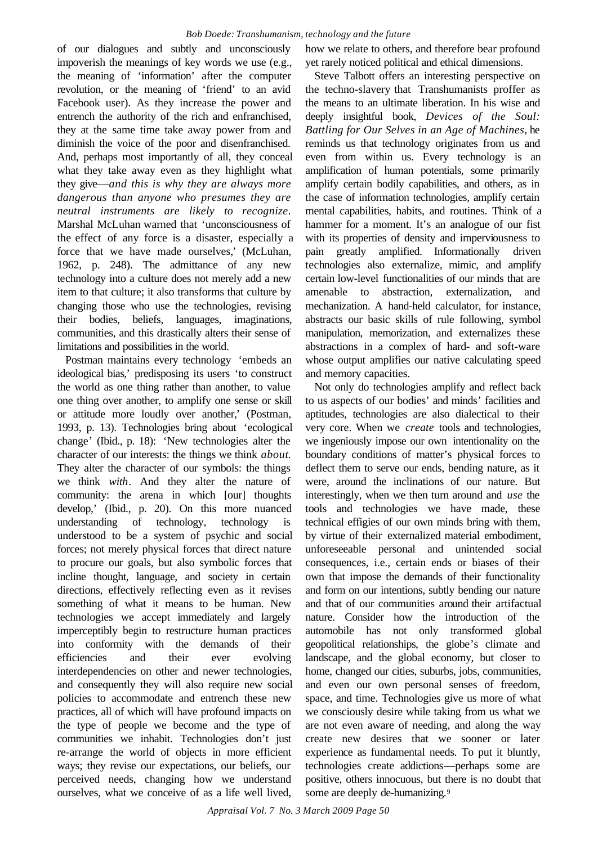of our dialogues and subtly and unconsciously impoverish the meanings of key words we use (e.g., the meaning of 'information' after the computer revolution, or the meaning of 'friend' to an avid Facebook user). As they increase the power and entrench the authority of the rich and enfranchised, they at the same time take away power from and diminish the voice of the poor and disenfranchised. And, perhaps most importantly of all, they conceal what they take away even as they highlight what they give—*and this is why they are always more dangerous than anyone who presumes they are neutral instruments are likely to recognize*. Marshal McLuhan warned that 'unconsciousness of the effect of any force is a disaster, especially a force that we have made ourselves,' (McLuhan, 1962, p. 248). The admittance of any new technology into a culture does not merely add a new item to that culture; it also transforms that culture by changing those who use the technologies, revising their bodies, beliefs, languages, imaginations, communities, and this drastically alters their sense of limitations and possibilities in the world.

Postman maintains every technology 'embeds an ideological bias,' predisposing its users 'to construct the world as one thing rather than another, to value one thing over another, to amplify one sense or skill or attitude more loudly over another,' (Postman, 1993, p. 13). Technologies bring about 'ecological change' (Ibid., p. 18): 'New technologies alter the character of our interests: the things we think *about*. They alter the character of our symbols: the things we think *with*. And they alter the nature of community: the arena in which [our] thoughts develop,' (Ibid., p. 20). On this more nuanced understanding of technology, technology is understood to be a system of psychic and social forces; not merely physical forces that direct nature to procure our goals, but also symbolic forces that incline thought, language, and society in certain directions, effectively reflecting even as it revises something of what it means to be human. New technologies we accept immediately and largely imperceptibly begin to restructure human practices into conformity with the demands of their efficiencies and their ever evolving interdependencies on other and newer technologies, and consequently they will also require new social policies to accommodate and entrench these new practices, all of which will have profound impacts on the type of people we become and the type of communities we inhabit. Technologies don't just re-arrange the world of objects in more efficient ways; they revise our expectations, our beliefs, our perceived needs, changing how we understand ourselves, what we conceive of as a life well lived,

how we relate to others, and therefore bear profound yet rarely noticed political and ethical dimensions.

Steve Talbott offers an interesting perspective on the techno-slavery that Transhumanists proffer as the means to an ultimate liberation. In his wise and deeply insightful book, *Devices of the Soul: Battling for Our Selves in an Age of Machines*, he reminds us that technology originates from us and even from within us. Every technology is an amplification of human potentials, some primarily amplify certain bodily capabilities, and others, as in the case of information technologies, amplify certain mental capabilities, habits, and routines. Think of a hammer for a moment. It's an analogue of our fist with its properties of density and imperviousness to pain greatly amplified. Informationally driven technologies also externalize, mimic, and amplify certain low-level functionalities of our minds that are amenable to abstraction, externalization, and mechanization. A hand-held calculator, for instance, abstracts our basic skills of rule following, symbol manipulation, memorization, and externalizes these abstractions in a complex of hard- and soft-ware whose output amplifies our native calculating speed and memory capacities.

Not only do technologies amplify and reflect back to us aspects of our bodies' and minds' facilities and aptitudes, technologies are also dialectical to their very core. When we *create* tools and technologies, we ingeniously impose our own intentionality on the boundary conditions of matter's physical forces to deflect them to serve our ends, bending nature, as it were, around the inclinations of our nature. But interestingly, when we then turn around and *use* the tools and technologies we have made, these technical effigies of our own minds bring with them, by virtue of their externalized material embodiment, unforeseeable personal and unintended social consequences, i.e., certain ends or biases of their own that impose the demands of their functionality and form on our intentions, subtly bending our nature and that of our communities around their artifactual nature. Consider how the introduction of the automobile has not only transformed global geopolitical relationships, the globe's climate and landscape, and the global economy, but closer to home, changed our cities, suburbs, jobs, communities, and even our own personal senses of freedom, space, and time. Technologies give us more of what we consciously desire while taking from us what we are not even aware of needing, and along the way create new desires that we sooner or later experience as fundamental needs. To put it bluntly, technologies create addictions—perhaps some are positive, others innocuous, but there is no doubt that some are deeply de-humanizing.<sup>9</sup>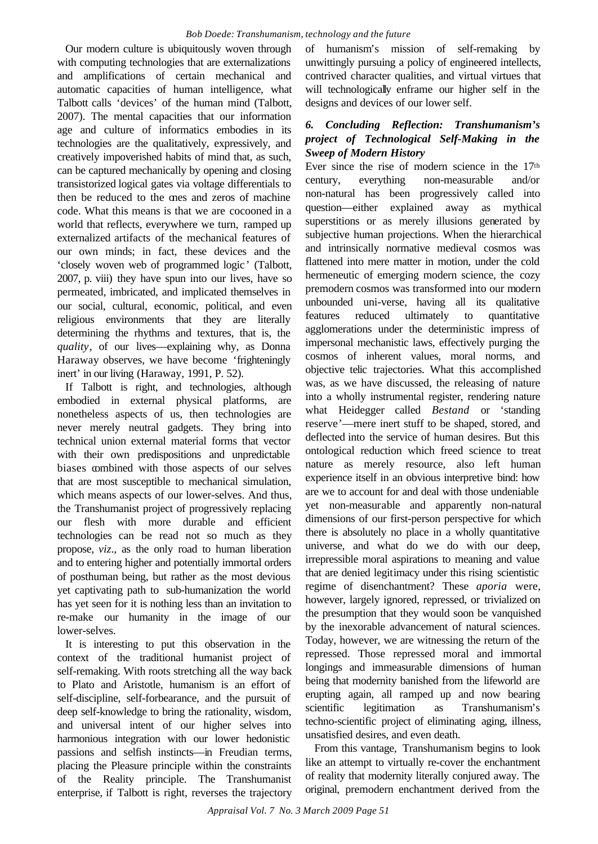Our modern culture is ubiquitously woven through with computing technologies that are externalizations and amplifications of certain mechanical and automatic capacities of human intelligence, what Talbott calls 'devices' of the human mind (Talbott, 2007). The mental capacities that our information age and culture of informatics embodies in its technologies are the qualitatively, expressively, and creatively impoverished habits of mind that, as such, can be captured mechanically by opening and closing transistorized logical gates via voltage differentials to then be reduced to the ones and zeros of machine code. What this means is that we are cocooned in a world that reflects, everywhere we turn, ramped up externalized artifacts of the mechanical features of our own minds; in fact, these devices and the 'closely woven web of programmed logic' (Talbott, 2007, p. viii) they have spun into our lives, have so permeated, imbricated, and implicated themselves in our social, cultural, economic, political, and even religious environments that they are literally determining the rhythms and textures, that is, the *quality*, of our lives—explaining why, as Donna Haraway observes, we have become 'frighteningly inert' in our living (Haraway, 1991, P. 52).

If Talbott is right, and technologies, although embodied in external physical platforms, are nonetheless aspects of us, then technologies are never merely neutral gadgets. They bring into technical union external material forms that vector with their own predispositions and unpredictable biases combined with those aspects of our selves that are most susceptible to mechanical simulation, which means aspects of our lower-selves. And thus, the Transhumanist project of progressively replacing our flesh with more durable and efficient technologies can be read not so much as they propose, *viz*., as the only road to human liberation and to entering higher and potentially immortal orders of posthuman being, but rather as the most devious yet captivating path to sub-humanization the world has yet seen for it is nothing less than an invitation to re-make our humanity in the image of our lower-selves.

It is interesting to put this observation in the context of the traditional humanist project of self-remaking. With roots stretching all the way back to Plato and Aristotle, humanism is an effort of self-discipline, self-forbearance, and the pursuit of deep self-knowledge to bring the rationality, wisdom, and universal intent of our higher selves into harmonious integration with our lower hedonistic passions and selfish instincts—in Freudian terms, placing the Pleasure principle within the constraints of the Reality principle. The Transhumanist enterprise, if Talbott is right, reverses the trajectory of humanism's mission of self-remaking by unwittingly pursuing a policy of engineered intellects, contrived character qualities, and virtual virtues that will technologically enframe our higher self in the designs and devices of our lower self.

# *6. Concluding Reflection: Transhumanism's project of Technological Self-Making in the Sweep of Modern History*

Ever since the rise of modern science in the 17th century, everything non-measurable and/or non-natural has been progressively called into question—either explained away as mythical superstitions or as merely illusions generated by subjective human projections. When the hierarchical and intrinsically normative medieval cosmos was flattened into mere matter in motion, under the cold hermeneutic of emerging modern science, the cozy premodern cosmos was transformed into our modern unbounded uni-verse, having all its qualitative features reduced ultimately to quantitative agglomerations under the deterministic impress of impersonal mechanistic laws, effectively purging the cosmos of inherent values, moral norms, and objective telic trajectories. What this accomplished was, as we have discussed, the releasing of nature into a wholly instrumental register, rendering nature what Heidegger called *Bestand* or 'standing reserve'—mere inert stuff to be shaped, stored, and deflected into the service of human desires. But this ontological reduction which freed science to treat nature as merely resource, also left human experience itself in an obvious interpretive bind: how are we to account for and deal with those undeniable yet non-measurable and apparently non-natural dimensions of our first-person perspective for which there is absolutely no place in a wholly quantitative universe, and what do we do with our deep, irrepressible moral aspirations to meaning and value that are denied legitimacy under this rising scientistic regime of disenchantment? These *aporia* were, however, largely ignored, repressed, or trivialized on the presumption that they would soon be vanquished by the inexorable advancement of natural sciences. Today, however, we are witnessing the return of the repressed. Those repressed moral and immortal longings and immeasurable dimensions of human being that modernity banished from the lifeworld are erupting again, all ramped up and now bearing scientific legitimation as Transhumanism's techno-scientific project of eliminating aging, illness, unsatisfied desires, and even death.

From this vantage, Transhumanism begins to look like an attempt to virtually re-cover the enchantment of reality that modernity literally conjured away. The original, premodern enchantment derived from the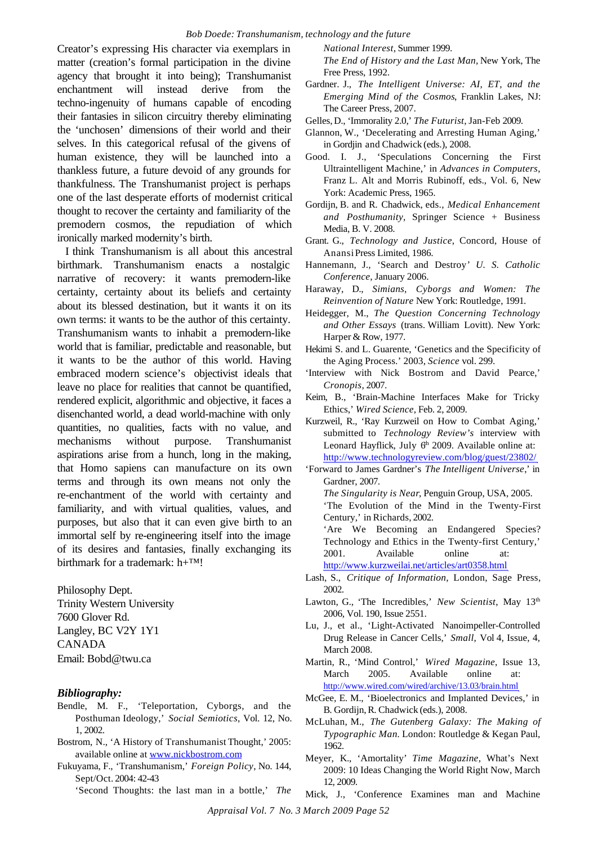Creator's expressing His character via exemplars in matter (creation's formal participation in the divine agency that brought it into being); Transhumanist enchantment will instead derive from the techno-ingenuity of humans capable of encoding their fantasies in silicon circuitry thereby eliminating the 'unchosen' dimensions of their world and their selves. In this categorical refusal of the givens of human existence, they will be launched into a thankless future, a future devoid of any grounds for thankfulness. The Transhumanist project is perhaps one of the last desperate efforts of modernist critical thought to recover the certainty and familiarity of the premodern cosmos, the repudiation of which ironically marked modernity's birth.

I think Transhumanism is all about this ancestral birthmark. Transhumanism enacts a nostalgic narrative of recovery: it wants premodern-like certainty, certainty about its beliefs and certainty about its blessed destination, but it wants it on its own terms: it wants to be the author of this certainty. Transhumanism wants to inhabit a premodern-like world that is familiar, predictable and reasonable, but it wants to be the author of this world. Having embraced modern science's objectivist ideals that leave no place for realities that cannot be quantified, rendered explicit, algorithmic and objective, it faces a disenchanted world, a dead world-machine with only quantities, no qualities, facts with no value, and mechanisms without purpose. Transhumanist aspirations arise from a hunch, long in the making, that Homo sapiens can manufacture on its own terms and through its own means not only the re-enchantment of the world with certainty and familiarity, and with virtual qualities, values, and purposes, but also that it can even give birth to an immortal self by re-engineering itself into the image of its desires and fantasies, finally exchanging its birthmark for a trademark:  $h + TM!$ 

Philosophy Dept. Trinity Western University 7600 Glover Rd. Langley, BC V2Y 1Y1 CANADA Email: Bobd@twu.ca

#### *Bibliography:*

- Bendle, M. F., 'Teleportation, Cyborgs, and the Posthuman Ideology,' *Social Semiotics*, Vol. 12, No. 1, 2002.
- Bostrom, N., 'A History of Transhumanist Thought,' 2005: available online at www.nickbostrom.com
- Fukuyama, F., 'Transhumanism,' *Foreign Policy*, No. 144, Sept/Oct. 2004: 42-43

'Second Thoughts: the last man in a bottle,' *The*

*National Interest*, Summer 1999.

*The End of History and the Last Man,* New York, The Free Press, 1992.

Gardner. J., *The Intelligent Universe: AI, ET, and the Emerging Mind of the Cosmos*, Franklin Lakes, NJ: The Career Press, 2007.

- Glannon, W., 'Decelerating and Arresting Human Aging,' in Gordjin and Chadwick (eds.), 2008.
- Good. I. J., 'Speculations Concerning the First Ultraintelligent Machine,' in *Advances in Computers*, Franz L. Alt and Morris Rubinoff, eds., Vol. 6, New York: Academic Press, 1965.
- Gordijn, B. and R. Chadwick, eds., *Medical Enhancement and Posthumanity*, Springer Science + Business Media, B. V. 2008.
- Grant. G., *Technology and Justice*, Concord, House of Anansi Press Limited, 1986.
- Hannemann, J., 'Search and Destroy*' U. S. Catholic Conference*, January 2006.
- Haraway, D., *Simians, Cyborgs and Women: The Reinvention of Nature* New York: Routledge, 1991.
- Heidegger, M., *The Question Concerning Technology and Other Essays* (trans. William Lovitt). New York: Harper & Row, 1977.
- Hekimi S. and L. Guarente, 'Genetics and the Specificity of the Aging Process.' 2003, *Science* vol. 299.
- 'Interview with Nick Bostrom and David Pearce,' *Cronopis*, 2007.
- Keim, B., 'Brain-Machine Interfaces Make for Tricky Ethics,' *Wired Science*, Feb. 2, 2009.
- Kurzweil, R., 'Ray Kurzweil on How to Combat Aging,' submitted to *Technology Review's* interview with Leonard Hayflick, July  $6<sup>h</sup>$  2009. Available online at: http://www.technologyreview.com/blog/guest/23802/
- 'Forward to James Gardner's *The Intelligent Universe*,' in Gardner, 2007.
	- *The Singularity is Near*, Penguin Group, USA, 2005.
	- 'The Evolution of the Mind in the Twenty-First Century,' in Richards, 2002.
	- 'Are We Becoming an Endangered Species? Technology and Ethics in the Twenty-first Century,' 2001. Available online at: http://www.kurzweilai.net/articles/art0358.html

Lash, S., *Critique of Information*, London, Sage Press,

- 2002.
- Lawton, G., 'The Incredibles,' *New Scientist*, May 13<sup>th</sup> 2006, Vol. 190, Issue 2551.
- Lu, J., et al., 'Light-Activated Nanoimpeller-Controlled Drug Release in Cancer Cells,' *Small*, Vol 4, Issue, 4, March 2008.
- Martin, R., 'Mind Control,' *Wired Magazine*, Issue 13, March 2005. Available online at: http://www.wired.com/wired/archive/13.03/brain.html
- McGee, E. M., 'Bioelectronics and Implanted Devices,' in B. Gordijn, R. Chadwick (eds.), 2008.
- McLuhan, M., *The Gutenberg Galaxy: The Making of Typographic Man.* London: Routledge & Kegan Paul, 1962.
- Meyer, K., 'Amortality' *Time Magazine*, What's Next 2009: 10 Ideas Changing the World Right Now, March 12, 2009.
- Mick, J., 'Conference Examines man and Machine

*Appraisal Vol. 7 No. 3 March 2009 Page 52*

Gelles, D., 'Immorality 2.0,' *The Futurist*, Jan-Feb 2009.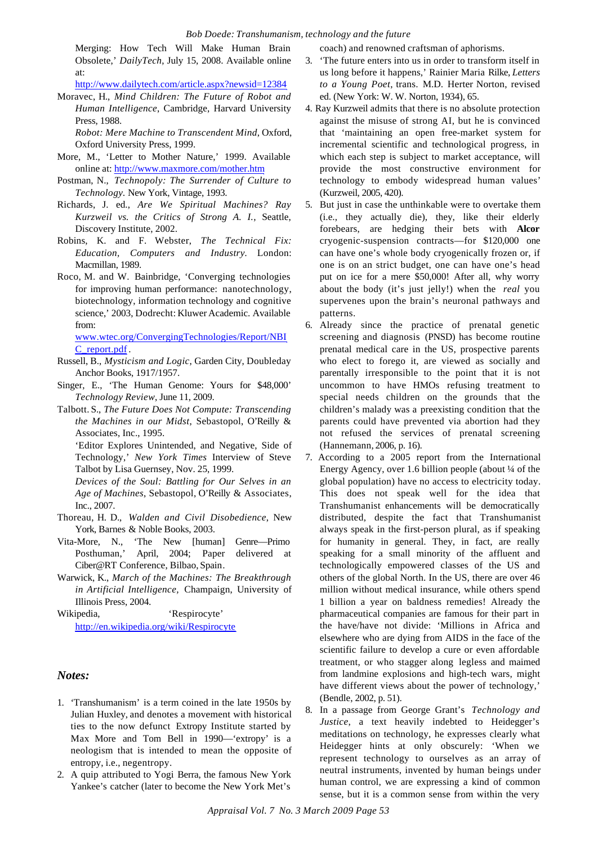Merging: How Tech Will Make Human Brain Obsolete,' *DailyTech*, July 15, 2008. Available online at:

http://www.dailytech.com/article.aspx?newsid=12384

Moravec, H., *Mind Children: The Future of Robot and Human Intelligence*, Cambridge, Harvard University Press, 1988.

*Robot: Mere Machine to Transcendent Mind*, Oxford, Oxford University Press, 1999.

- More, M., 'Letter to Mother Nature,' 1999. Available online at: http://www.maxmore.com/mother.htm
- Postman, N., *Technopoly: The Surrender of Culture to Technology.* New York, Vintage, 1993.
- Richards, J. ed., *Are We Spiritual Machines? Ray Kurzweil vs. the Critics of Strong A. I.*, Seattle, Discovery Institute, 2002.
- Robins, K. and F. Webster, *The Technical Fix: Education, Computers and Industry.* London: Macmillan, 1989.
- Roco, M. and W. Bainbridge, 'Converging technologies for improving human performance: nanotechnology, biotechnology, information technology and cognitive science,' 2003, Dodrecht: Kluwer Academic. Available from:

www.wtec.org/ConvergingTechnologies/Report/NBI C\_report.pdf .

- Russell, B., *Mysticism and Logic*, Garden City, Doubleday Anchor Books, 1917/1957.
- Singer, E., 'The Human Genome: Yours for \$48,000' *Technology Review*, June 11, 2009.
- Talbott. S., *The Future Does Not Compute: Transcending the Machines in our Midst*, Sebastopol, O'Reilly & Associates, Inc., 1995.

'Editor Explores Unintended, and Negative, Side of Technology,' *New York Times* Interview of Steve Talbot by Lisa Guernsey, Nov. 25, 1999.

*Devices of the Soul: Battling for Our Selves in an Age of Machines*, Sebastopol, O'Reilly & Associates, Inc., 2007.

- Thoreau, H. D., *Walden and Civil Disobedience*, New York, Barnes & Noble Books, 2003.
- Vita-More, N., 'The New [human] Genre—Primo Posthuman,' April, 2004; Paper delivered at Ciber@RT Conference, Bilbao, Spain.
- Warwick, K., *March of the Machines: The Breakthrough in Artificial Intelligence,* Champaign, University of Illinois Press, 2004*.*

Wikipedia, 'Respirocyte' http://en.wikipedia.org/wiki/Respirocyte

#### *Notes:*

- 1. 'Transhumanism' is a term coined in the late 1950s by Julian Huxley, and denotes a movement with historical ties to the now defunct Extropy Institute started by Max More and Tom Bell in 1990—'extropy' is a neologism that is intended to mean the opposite of entropy, i.e., negentropy.
- 2. A quip attributed to Yogi Berra, the famous New York Yankee's catcher (later to become the New York Met's

coach) and renowned craftsman of aphorisms.

- 3. 'The future enters into us in order to transform itself in us long before it happens,' Rainier Maria Rilke, *Letters to a Young Poet*, trans. M.D. Herter Norton, revised ed. (New York: W. W. Norton, 1934), 65.
- 4. Ray Kurzweil admits that there is no absolute protection against the misuse of strong AI, but he is convinced that 'maintaining an open free-market system for incremental scientific and technological progress, in which each step is subject to market acceptance, will provide the most constructive environment for technology to embody widespread human values' (Kurzweil, 2005, 420).
- 5. But just in case the unthinkable were to overtake them (i.e., they actually die), they, like their elderly forebears, are hedging their bets with **Alcor** cryogenic-suspension contracts—for \$120,000 one can have one's whole body cryogenically frozen or, if one is on an strict budget, one can have one's head put on ice for a mere \$50,000! After all, why worry about the body (it's just jelly!) when the *real* you supervenes upon the brain's neuronal pathways and patterns.
- 6. Already since the practice of prenatal genetic screening and diagnosis (PNSD) has become routine prenatal medical care in the US, prospective parents who elect to forego it, are viewed as socially and parentally irresponsible to the point that it is not uncommon to have HMOs refusing treatment to special needs children on the grounds that the children's malady was a preexisting condition that the parents could have prevented via abortion had they not refused the services of prenatal screening (Hannemann, 2006, p. 16).
- 7. According to a 2005 report from the International Energy Agency, over 1.6 billion people (about ¼ of the global population) have no access to electricity today. This does not speak well for the idea that Transhumanist enhancements will be democratically distributed, despite the fact that Transhumanist always speak in the first-person plural, as if speaking for humanity in general. They, in fact, are really speaking for a small minority of the affluent and technologically empowered classes of the US and others of the global North. In the US, there are over 46 million without medical insurance, while others spend 1 billion a year on baldness remedies! Already the pharmaceutical companies are famous for their part in the have/have not divide: 'Millions in Africa and elsewhere who are dying from AIDS in the face of the scientific failure to develop a cure or even affordable treatment, or who stagger along legless and maimed from landmine explosions and high-tech wars, might have different views about the power of technology,' (Bendle, 2002, p. 51).
- 8. In a passage from George Grant's *Technology and Justice*, a text heavily indebted to Heidegger's meditations on technology, he expresses clearly what Heidegger hints at only obscurely: 'When we represent technology to ourselves as an array of neutral instruments, invented by human beings under human control, we are expressing a kind of common sense, but it is a common sense from within the very